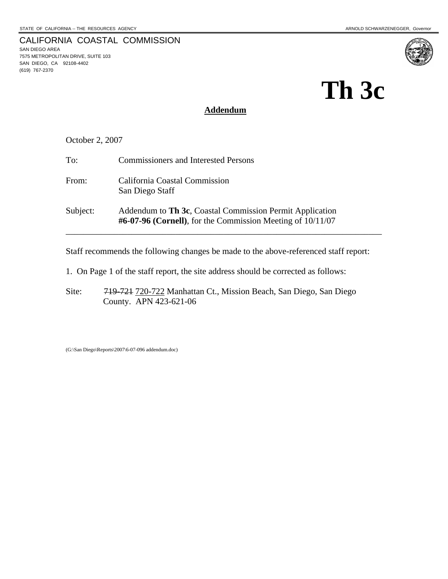7575 METROPOLITAN DRIVE, SUITE 103 SAN DIEGO, CA 92108-4402

SAN DIEGO AREA

(619) 767-2370

# **Th 3c**

# **Addendum**

October 2, 2007

CALIFORNIA COASTAL COMMISSION

| To:      | <b>Commissioners and Interested Persons</b>                                                                               |
|----------|---------------------------------------------------------------------------------------------------------------------------|
| From:    | California Coastal Commission<br>San Diego Staff                                                                          |
| Subject: | Addendum to Th 3c, Coastal Commission Permit Application<br>$\#6-07-96$ (Cornell), for the Commission Meeting of 10/11/07 |

Staff recommends the following changes be made to the above-referenced staff report:

- 1. On Page 1 of the staff report, the site address should be corrected as follows:
- Site: 719-721 720-722 Manhattan Ct., Mission Beach, San Diego, San Diego County. APN 423-621-06

(G:\San Diego\Reports\2007\6-07-096 addendum.doc)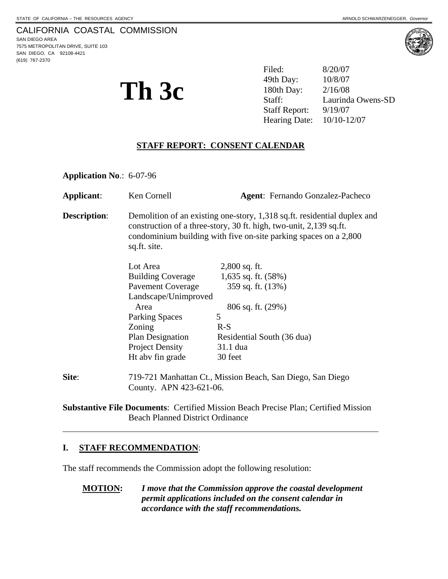# CALIFORNIA COASTAL COMMISSION

SAN DIEGO AREA 7575 METROPOLITAN DRIVE, SUITE 103 SAN DIEGO, CA 92108-4421 (619) 767-2370



**Th 3c** <sup>49th Day: 10/8/07<br>
<sup>180th Day: 2/16/08</sup><br>
Staff: Laurind</sup> Filed: 8/20/07 49th Day: Laurinda Owens-SD Staff Report: 9/19/07 Hearing Date: 10/10-12/07

# **STAFF REPORT: CONSENT CALENDAR**

**Application No**.: 6-07-96

| Applicant:          | Ken Cornell                                                                                                                                                                                                                        | <b>Agent:</b> Fernando Gonzalez-Pacheco |  |
|---------------------|------------------------------------------------------------------------------------------------------------------------------------------------------------------------------------------------------------------------------------|-----------------------------------------|--|
| <b>Description:</b> | Demolition of an existing one-story, 1,318 sq.ft. residential duplex and<br>construction of a three-story, 30 ft. high, two-unit, 2,139 sq.ft.<br>condominium building with five on-site parking spaces on a 2,800<br>sq.ft. site. |                                         |  |
|                     | Lot Area                                                                                                                                                                                                                           | $2,800$ sq. ft.                         |  |
|                     | <b>Building Coverage</b>                                                                                                                                                                                                           | 1,635 sq. ft. $(58%)$                   |  |
|                     | <b>Pavement Coverage</b>                                                                                                                                                                                                           | 359 sq. ft. (13%)                       |  |
|                     | Landscape/Unimproved                                                                                                                                                                                                               |                                         |  |
|                     | Area                                                                                                                                                                                                                               | $806$ sq. ft. $(29%)$                   |  |
|                     | <b>Parking Spaces</b>                                                                                                                                                                                                              | 5                                       |  |
|                     | Zoning                                                                                                                                                                                                                             | $R-S$                                   |  |
|                     | <b>Plan Designation</b>                                                                                                                                                                                                            | Residential South (36 dua)              |  |
|                     | <b>Project Density</b>                                                                                                                                                                                                             | 31.1 dua                                |  |
|                     | Ht abv fin grade                                                                                                                                                                                                                   | 30 feet                                 |  |
| Site:               | 719-721 Manhattan Ct., Mission Beach, San Diego, San Diego<br>County. APN 423-621-06.                                                                                                                                              |                                         |  |

**Substantive File Documents**: Certified Mission Beach Precise Plan; Certified Mission Beach Planned District Ordinance

#### **I. STAFF RECOMMENDATION**:

 $\overline{a}$ 

The staff recommends the Commission adopt the following resolution:

**MOTION:** *I move that the Commission approve the coastal development permit applications included on the consent calendar in accordance with the staff recommendations.*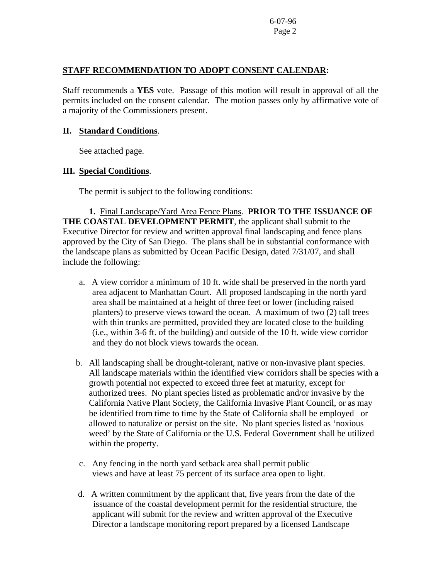### **STAFF RECOMMENDATION TO ADOPT CONSENT CALENDAR:**

Staff recommends a **YES** vote. Passage of this motion will result in approval of all the permits included on the consent calendar. The motion passes only by affirmative vote of a majority of the Commissioners present.

#### **II. Standard Conditions**.

See attached page.

#### **III. Special Conditions**.

The permit is subject to the following conditions:

 **1.** Final Landscape/Yard Area Fence Plans. **PRIOR TO THE ISSUANCE OF THE COASTAL DEVELOPMENT PERMIT**, the applicant shall submit to the Executive Director for review and written approval final landscaping and fence plans approved by the City of San Diego. The plans shall be in substantial conformance with the landscape plans as submitted by Ocean Pacific Design, dated 7/31/07, and shall include the following:

- a. A view corridor a minimum of 10 ft. wide shall be preserved in the north yard area adjacent to Manhattan Court. All proposed landscaping in the north yard area shall be maintained at a height of three feet or lower (including raised planters) to preserve views toward the ocean. A maximum of two (2) tall trees with thin trunks are permitted, provided they are located close to the building (i.e., within 3-6 ft. of the building) and outside of the 10 ft. wide view corridor and they do not block views towards the ocean.
- b. All landscaping shall be drought-tolerant, native or non-invasive plant species. All landscape materials within the identified view corridors shall be species with a growth potential not expected to exceed three feet at maturity, except for authorized trees. No plant species listed as problematic and/or invasive by the California Native Plant Society, the California Invasive Plant Council, or as may be identified from time to time by the State of California shall be employed or allowed to naturalize or persist on the site. No plant species listed as 'noxious weed' by the State of California or the U.S. Federal Government shall be utilized within the property.
- c. Any fencing in the north yard setback area shall permit public views and have at least 75 percent of its surface area open to light.
- d. A written commitment by the applicant that, five years from the date of the issuance of the coastal development permit for the residential structure, the applicant will submit for the review and written approval of the Executive Director a landscape monitoring report prepared by a licensed Landscape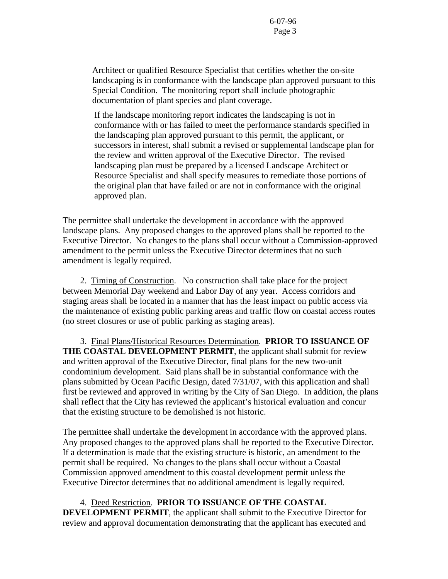Architect or qualified Resource Specialist that certifies whether the on-site landscaping is in conformance with the landscape plan approved pursuant to this Special Condition. The monitoring report shall include photographic documentation of plant species and plant coverage.

If the landscape monitoring report indicates the landscaping is not in conformance with or has failed to meet the performance standards specified in the landscaping plan approved pursuant to this permit, the applicant, or successors in interest, shall submit a revised or supplemental landscape plan for the review and written approval of the Executive Director. The revised landscaping plan must be prepared by a licensed Landscape Architect or Resource Specialist and shall specify measures to remediate those portions of the original plan that have failed or are not in conformance with the original approved plan.

The permittee shall undertake the development in accordance with the approved landscape plans. Any proposed changes to the approved plans shall be reported to the Executive Director. No changes to the plans shall occur without a Commission-approved amendment to the permit unless the Executive Director determines that no such amendment is legally required.

 2. Timing of Construction.No construction shall take place for the project between Memorial Day weekend and Labor Day of any year. Access corridors and staging areas shall be located in a manner that has the least impact on public access via the maintenance of existing public parking areas and traffic flow on coastal access routes (no street closures or use of public parking as staging areas).

3. Final Plans/Historical Resources Determination. **PRIOR TO ISSUANCE OF THE COASTAL DEVELOPMENT PERMIT**, the applicant shall submit for review and written approval of the Executive Director, final plans for the new two-unit condominium development. Said plans shall be in substantial conformance with the plans submitted by Ocean Pacific Design, dated 7/31/07, with this application and shall first be reviewed and approved in writing by the City of San Diego. In addition, the plans shall reflect that the City has reviewed the applicant's historical evaluation and concur that the existing structure to be demolished is not historic.

The permittee shall undertake the development in accordance with the approved plans. Any proposed changes to the approved plans shall be reported to the Executive Director. If a determination is made that the existing structure is historic, an amendment to the permit shall be required. No changes to the plans shall occur without a Coastal Commission approved amendment to this coastal development permit unless the Executive Director determines that no additional amendment is legally required.

# 4.Deed Restriction. **PRIOR TO ISSUANCE OF THE COASTAL**

**DEVELOPMENT PERMIT**, the applicant shall submit to the Executive Director for review and approval documentation demonstrating that the applicant has executed and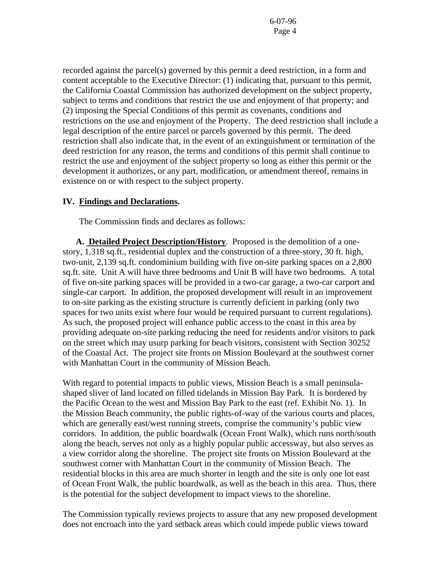recorded against the parcel(s) governed by this permit a deed restriction, in a form and content acceptable to the Executive Director: (1) indicating that, pursuant to this permit, the California Coastal Commission has authorized development on the subject property, subject to terms and conditions that restrict the use and enjoyment of that property; and (2) imposing the Special Conditions of this permit as covenants, conditions and restrictions on the use and enjoyment of the Property. The deed restriction shall include a legal description of the entire parcel or parcels governed by this permit. The deed restriction shall also indicate that, in the event of an extinguishment or termination of the deed restriction for any reason, the terms and conditions of this permit shall continue to restrict the use and enjoyment of the subject property so long as either this permit or the development it authorizes, or any part, modification, or amendment thereof, remains in existence on or with respect to the subject property.

#### **IV. Findings and Declarations.**

The Commission finds and declares as follows:

 **A. Detailed Project Description/History**. Proposed is the demolition of a onestory, 1,318 sq.ft., residential duplex and the construction of a three-story, 30 ft. high, two-unit, 2,139 sq.ft. condominium building with five on-site parking spaces on a 2,800 sq.ft. site. Unit A will have three bedrooms and Unit B will have two bedrooms. A total of five on-site parking spaces will be provided in a two-car garage, a two-car carport and single-car carport. In addition, the proposed development will result in an improvement to on-site parking as the existing structure is currently deficient in parking (only two spaces for two units exist where four would be required pursuant to current regulations). As such, the proposed project will enhance public access to the coast in this area by providing adequate on-site parking reducing the need for residents and/or visitors to park on the street which may usurp parking for beach visitors, consistent with Section 30252 of the Coastal Act. The project site fronts on Mission Boulevard at the southwest corner with Manhattan Court in the community of Mission Beach.

With regard to potential impacts to public views, Mission Beach is a small peninsulashaped sliver of land located on filled tidelands in Mission Bay Park. It is bordered by the Pacific Ocean to the west and Mission Bay Park to the east (ref. Exhibit No. 1). In the Mission Beach community, the public rights-of-way of the various courts and places, which are generally east/west running streets, comprise the community's public view corridors. In addition, the public boardwalk (Ocean Front Walk), which runs north/south along the beach, serves not only as a highly popular public accessway, but also serves as a view corridor along the shoreline. The project site fronts on Mission Boulevard at the southwest corner with Manhattan Court in the community of Mission Beach. The residential blocks in this area are much shorter in length and the site is only one lot east of Ocean Front Walk, the public boardwalk, as well as the beach in this area. Thus, there is the potential for the subject development to impact views to the shoreline.

The Commission typically reviews projects to assure that any new proposed development does not encroach into the yard setback areas which could impede public views toward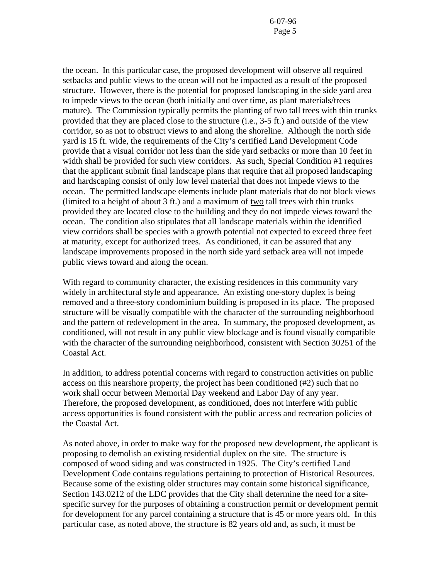the ocean. In this particular case, the proposed development will observe all required setbacks and public views to the ocean will not be impacted as a result of the proposed structure. However, there is the potential for proposed landscaping in the side yard area to impede views to the ocean (both initially and over time, as plant materials/trees mature). The Commission typically permits the planting of two tall trees with thin trunks provided that they are placed close to the structure (i.e., 3-5 ft.) and outside of the view corridor, so as not to obstruct views to and along the shoreline. Although the north side yard is 15 ft. wide, the requirements of the City's certified Land Development Code provide that a visual corridor not less than the side yard setbacks or more than 10 feet in width shall be provided for such view corridors. As such, Special Condition #1 requires that the applicant submit final landscape plans that require that all proposed landscaping and hardscaping consist of only low level material that does not impede views to the ocean. The permitted landscape elements include plant materials that do not block views (limited to a height of about 3 ft.) and a maximum of two tall trees with thin trunks provided they are located close to the building and they do not impede views toward the ocean. The condition also stipulates that all landscape materials within the identified view corridors shall be species with a growth potential not expected to exceed three feet at maturity, except for authorized trees. As conditioned, it can be assured that any landscape improvements proposed in the north side yard setback area will not impede public views toward and along the ocean.

With regard to community character, the existing residences in this community vary widely in architectural style and appearance. An existing one-story duplex is being removed and a three-story condominium building is proposed in its place. The proposed structure will be visually compatible with the character of the surrounding neighborhood and the pattern of redevelopment in the area. In summary, the proposed development, as conditioned, will not result in any public view blockage and is found visually compatible with the character of the surrounding neighborhood, consistent with Section 30251 of the Coastal Act.

In addition, to address potential concerns with regard to construction activities on public access on this nearshore property, the project has been conditioned (#2) such that no work shall occur between Memorial Day weekend and Labor Day of any year. Therefore, the proposed development, as conditioned, does not interfere with public access opportunities is found consistent with the public access and recreation policies of the Coastal Act.

As noted above, in order to make way for the proposed new development, the applicant is proposing to demolish an existing residential duplex on the site. The structure is composed of wood siding and was constructed in 1925. The City's certified Land Development Code contains regulations pertaining to protection of Historical Resources. Because some of the existing older structures may contain some historical significance, Section 143.0212 of the LDC provides that the City shall determine the need for a sitespecific survey for the purposes of obtaining a construction permit or development permit for development for any parcel containing a structure that is 45 or more years old. In this particular case, as noted above, the structure is 82 years old and, as such, it must be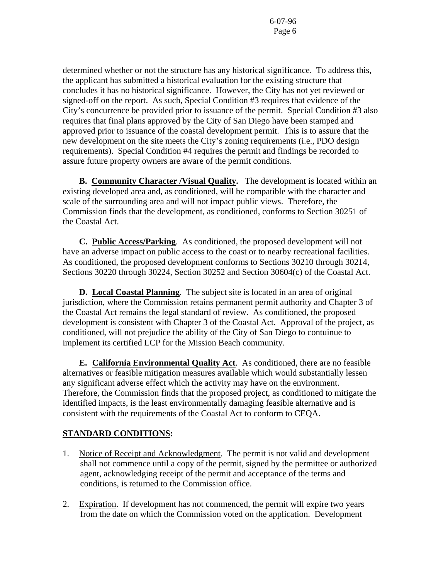determined whether or not the structure has any historical significance. To address this, the applicant has submitted a historical evaluation for the existing structure that concludes it has no historical significance. However, the City has not yet reviewed or signed-off on the report. As such, Special Condition #3 requires that evidence of the City's concurrence be provided prior to issuance of the permit. Special Condition #3 also requires that final plans approved by the City of San Diego have been stamped and approved prior to issuance of the coastal development permit. This is to assure that the new development on the site meets the City's zoning requirements (i.e., PDO design requirements). Special Condition #4 requires the permit and findings be recorded to assure future property owners are aware of the permit conditions.

**B. Community Character /Visual Quality.** The development is located within an existing developed area and, as conditioned, will be compatible with the character and scale of the surrounding area and will not impact public views. Therefore, the Commission finds that the development, as conditioned, conforms to Section 30251 of the Coastal Act.

**C. Public Access/Parking**. As conditioned, the proposed development will not have an adverse impact on public access to the coast or to nearby recreational facilities. As conditioned, the proposed development conforms to Sections 30210 through 30214, Sections 30220 through 30224, Section 30252 and Section 30604(c) of the Coastal Act.

 **D. Local Coastal Planning**. The subject site is located in an area of original jurisdiction, where the Commission retains permanent permit authority and Chapter 3 of the Coastal Act remains the legal standard of review. As conditioned, the proposed development is consistent with Chapter 3 of the Coastal Act. Approval of the project, as conditioned, will not prejudice the ability of the City of San Diego to contuinue to implement its certified LCP for the Mission Beach community.

 **E. California Environmental Quality Act**. As conditioned, there are no feasible alternatives or feasible mitigation measures available which would substantially lessen any significant adverse effect which the activity may have on the environment. Therefore, the Commission finds that the proposed project, as conditioned to mitigate the identified impacts, is the least environmentally damaging feasible alternative and is consistent with the requirements of the Coastal Act to conform to CEQA.

# **STANDARD CONDITIONS:**

- 1. Notice of Receipt and Acknowledgment. The permit is not valid and development shall not commence until a copy of the permit, signed by the permittee or authorized agent, acknowledging receipt of the permit and acceptance of the terms and conditions, is returned to the Commission office.
- 2. Expiration. If development has not commenced, the permit will expire two years from the date on which the Commission voted on the application. Development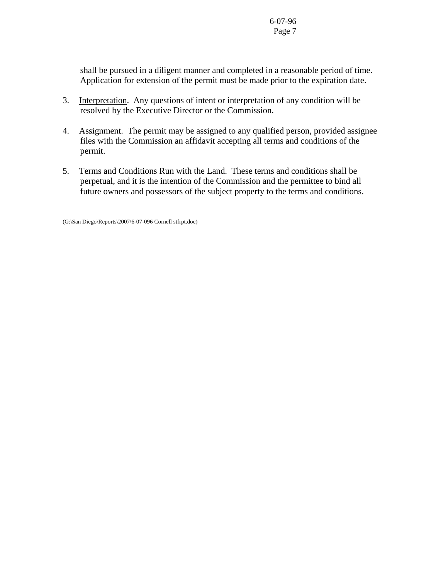shall be pursued in a diligent manner and completed in a reasonable period of time. Application for extension of the permit must be made prior to the expiration date.

- 3. Interpretation. Any questions of intent or interpretation of any condition will be resolved by the Executive Director or the Commission.
- 4. Assignment. The permit may be assigned to any qualified person, provided assignee files with the Commission an affidavit accepting all terms and conditions of the permit.
- 5. Terms and Conditions Run with the Land. These terms and conditions shall be perpetual, and it is the intention of the Commission and the permittee to bind all future owners and possessors of the subject property to the terms and conditions.

(G:\San Diego\Reports\2007\6-07-096 Cornell stfrpt.doc)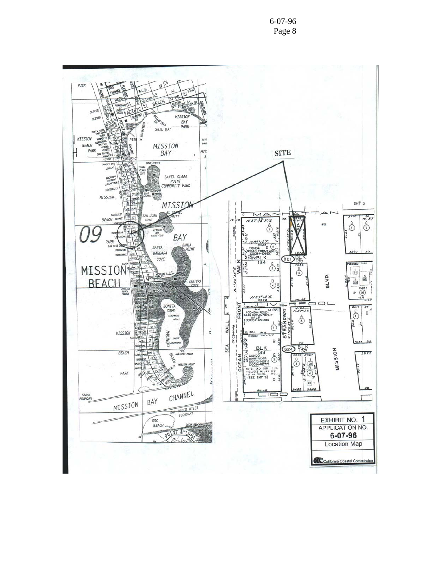